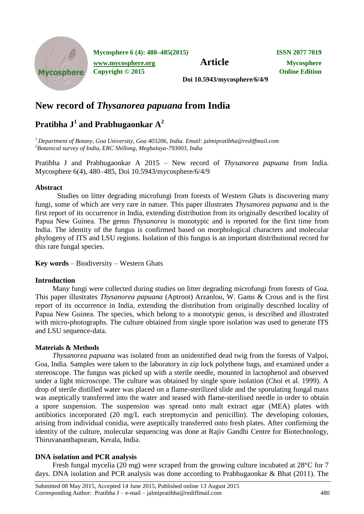

**Mycosphere 6 (4): 480–485(2015) ISSN 2077 7019**

**[www.mycosphere.org](http://www.mycosphere.org/) Article Mycosphere**<br> **Article Mycosphere**<br> **Convright** © 2015 **Copyright © 2015** 

**Doi 10.5943/mycosphere/6/4/9**

# **New record of** *Thysanorea papuana* **from India**

# **Pratibha J<sup>1</sup> and Prabhugaonkar A<sup>2</sup>**

*<sup>1</sup> Department of Botany, Goa University, Goa 403206, India. Email: [jalmipratibha@rediffmail.com](mailto:jalmipratibha@rediffmail.com) <sup>2</sup>Botanical survey of India, ERC Shillong, Meghalaya-793003, India*

Pratibha J and Prabhugaonkar A 2015 – New record of *Thysanorea papuana* from India. Mycosphere 6(4), 480–485, Doi 10.5943/mycosphere/6/4/9

## **Abstract**

Studies on litter degrading microfungi from forests of Western Ghats is discovering many fungi, some of which are very rare in nature. This paper illustrates *Thysanorea papuana* and is the first report of its occurrence in India, extending distribution from its originally described locality of Papua New Guinea. The genus *Thysanorea* is monotypic and is reported for the first time from India. The identity of the fungus is confirmed based on morphological characters and molecular phylogeny of ITS and LSU regions. Isolation of this fungus is an important distributional record for this rare fungal species.

**Key words** – Biodiversity – Western Ghats

## **Introduction**

Many fungi were collected during studies on litter degrading microfungi from forests of Goa. This paper illustrates *Thysanorea papuana* (Aptroot) Arzanlou, W. Gams & Crous and is the first report of its occurrence in India, extending the distribution from originally described locality of Papua New Guinea. The species, which belong to a monotypic genus, is described and illustrated with micro-photographs. The culture obtained from single spore isolation was used to generate ITS and LSU sequence-data.

## **Materials & Methods**

*Thysanorea papuana* was isolated from an unidentified dead twig from the forests of Valpoi, Goa, India. Samples were taken to the laboratory in zip lock polythene bags, and examined under a stereoscope. The fungus was picked up with a sterile needle, mounted in lactophenol and observed under a light microscope. The culture was obtained by single spore isolation (Choi et al. 1999). A drop of sterile distilled water was placed on a flame-sterilized slide and the sporulating fungal mass was aseptically transferred into the water and teased with flame-sterilised needle in order to obtain a spore suspension. The suspension was spread onto malt extract agar (MEA) plates with antibiotics incorporated (20 mg/L each streptomycin and penicillin). The developing colonies, arising from individual conidia, were aseptically transferred onto fresh plates. After confirming the identity of the culture, molecular sequencing was done at Rajiv Gandhi Centre for Biotechnology, Thiruvananthapuram, Kerala, India.

## **DNA isolation and PCR analysis**

Fresh fungal mycelia (20 mg) were scraped from the growing culture incubated at 28°C for 7 days. DNA isolation and PCR analysis was done according to Prabhugaonkar & Bhat (2011). The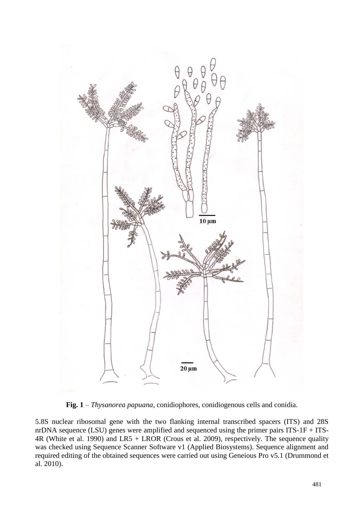

**Fig. 1** – *Thysanorea papuana*, conidiophores, conidiogenous cells and conidia.

5.8S nuclear ribosomal gene with the two flanking internal transcribed spacers (ITS) and 28S nrDNA sequence (LSU) genes were amplified and sequenced using the primer pairs ITS-1F + ITS-4R (White et al. 1990) and LR5 + LROR (Crous et al. 2009), respectively. The sequence quality was checked using Sequence Scanner Software v1 (Applied Biosystems). Sequence alignment and required editing of the obtained sequences were carried out using Geneious Pro v5.1 (Drummond et al. 2010).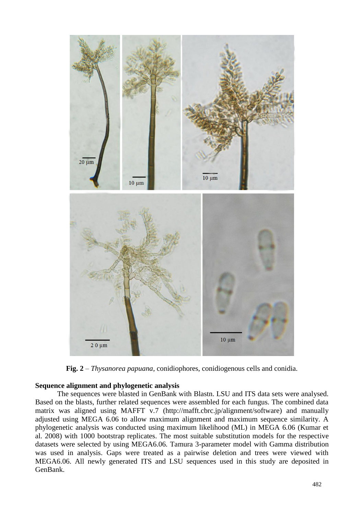

**Fig. 2** – *Thysanorea papuana*, conidiophores, conidiogenous cells and conidia.

#### **Sequence alignment and phylogenetic analysis**

The sequences were blasted in GenBank with Blastn. LSU and ITS data sets were analysed. Based on the blasts, further related sequences were assembled for each fungus. The combined data matrix was aligned using MAFFT v.7 (http://mafft.cbrc.jp/alignment/software) and manually adjusted using MEGA 6.06 to allow maximum alignment and maximum sequence similarity. A phylogenetic analysis was conducted using maximum likelihood (ML) in MEGA 6.06 (Kumar et al. 2008) with 1000 bootstrap replicates. The most suitable substitution models for the respective datasets were selected by using MEGA6.06. Tamura 3-parameter model with Gamma distribution was used in analysis. Gaps were treated as a pairwise deletion and trees were viewed with MEGA6.06. All newly generated ITS and LSU sequences used in this study are deposited in GenBank.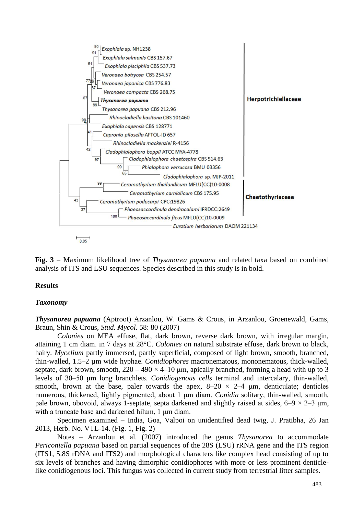

**Fig. 3** – Maximum likelihood tree of *Thysanorea papuana* and related taxa based on combined analysis of ITS and LSU sequences. Species described in this study is in bold.

### **Results**

### *Taxonomy*

*Thysanorea papuana* (Aptroot) Arzanlou, W. Gams & Crous, in Arzanlou, Groenewald, Gams, Braun, Shin & Crous, *Stud. Mycol.* 58: 80 (2007)

*Colonies* on MEA effuse, flat, dark brown, reverse dark brown, with irregular margin, attaining 1 cm diam. in 7 days at 28°C. *Colonies* on natural substrate effuse, dark brown to black, hairy. *Mycelium* partly immersed, partly superficial, composed of light brown, smooth, branched, thin-walled, 1.5–2 µm wide hyphae. *Conidiophores* macronematous, mononematous, thick-walled, septate, dark brown, smooth,  $220 - 490 \times 4 - 10$  µm, apically branched, forming a head with up to 3 levels of 30–50 μm long branchlets. *Conidiogenous cells* terminal and intercalary, thin-walled, smooth, brown at the base, paler towards the apex,  $8-20 \times 2-4$  µm, denticulate; denticles numerous, thickened, lightly pigmented, about 1 μm diam. *Conidia* solitary, thin-walled, smooth, pale brown, obovoid, always 1-septate, septa darkened and slightly raised at sides,  $6-9 \times 2-3$  µm, with a truncate base and darkened hilum, 1 μm diam.

Specimen examined – India, Goa, Valpoi on unidentified dead twig, J. Pratibha, 26 Jan 2013, Herb. No. VTL-14. (Fig. 1, Fig. 2)

Notes – Arzanlou et al. (2007) introduced the genus *Thysanorea* to accommodate *Periconiella papuana* based on partial sequences of the 28S (LSU) rRNA gene and the ITS region (ITS1, 5.8S rDNA and ITS2) and morphological characters like complex head consisting of up to six levels of branches and having dimorphic conidiophores with more or less prominent denticlelike conidiogenous loci. This fungus was collected in current study from terrestrial litter samples.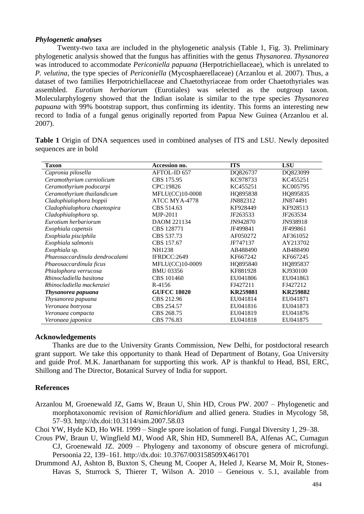#### *Phylogenetic analyses*

Twenty-two taxa are included in the phylogenetic analysis (Table 1, Fig. 3). Preliminary phylogenetic analysis showed that the fungus has affinities with the genus *Thysanorea*. *Thysanorea* was introduced to accommodate *Periconiella papuana* (Herpotrichiellaceae), which is unrelated to *P. velutina*, the type species of *Periconiella* (Mycosphaerellaceae) (Arzanlou et al. 2007). Thus, a dataset of two families Herpotrichiellaceae and Chaetothyriaceae from order Chaetothyriales was assembled. *Eurotium herbariorum* (Eurotiales) was selected as the outgroup taxon. Molecularphylogeny showed that the Indian isolate is similar to the type species *Thysanorea papuana* with 99% bootstrap support, thus confirming its identity. This forms an interesting new record to India of a fungal genus originally reported from Papua New Guinea (Arzanlou et al. 2007).

**Table 1** Origin of DNA sequences used in combined analyses of ITS and LSU. Newly deposited sequences are in bold

| <b>Taxon</b>                   | Accession no.           | <b>ITS</b>      | <b>LSU</b> |
|--------------------------------|-------------------------|-----------------|------------|
| Capronia pilosella             | AFTOL-ID <sub>657</sub> | DQ826737        | DQ823099   |
| Ceramothyrium carniolicum      | CBS 175.95              | KC978733        | KC455251   |
| Ceramothyrium podocarpi        | CPC:19826               | KC455251        | KC005795   |
| Ceramothyrium thailandicum     | MFLU(CC)10-0008         | HQ895838        | HQ895835   |
| Cladophialophora boppii        | ATCC MYA-4778           | JN882312        | JN874491   |
| Cladophialophora chaetospira   | CBS 514.63              | KF928449        | KF928513   |
| Cladophialophora sp.           | MJP-2011                | JF263533        | JF263534   |
| Eurotium herbariorum           | DAOM 221134             | JN942870        | JN938918   |
| Exophiala capensis             | CBS 128771              | JF499841        | JF499861   |
| Exophiala pisciphila           | CBS 537.73              | AF050272        | AF361052   |
| Exophiala salmonis             | CBS 157.67              | JF747137        | AY213702   |
| Exophiala sp.                  | <b>NH1238</b>           | AB488490        | AB488490   |
| Phaeosaccardinula dendrocalami | IFRDCC:2649             | KF667242        | KF667245   |
| Phaeosaccardinula ficus        | MFLU(CC)10-0009         | HQ895840        | HQ895837   |
| Phialophora verrucosa          | <b>BMU 03356</b>        | KF881928        | KJ930100   |
| Rhinocladiella basitona        | CBS 101460              | EU041806        | EU041863   |
| Rhinocladiella mackenziei      | R-4156                  | FJ427211        | FJ427212   |
| Thysanorea papuana             | <b>GUFCC 18020</b>      | <b>KR259881</b> | KR259882   |
| Thysanorea papuana             | CBS 212.96              | EU041814        | EU041871   |
| Veronaea botryosa              | CBS 254.57              | EU041816        | EU041873   |
| Veronaea compacta              | CBS 268.75              | EU041819        | EU041876   |
| Veronaea japonica              | CBS 776.83              | EU041818        | EU041875   |

#### **Acknowledgements**

Thanks are due to the University Grants Commission, New Delhi, for postdoctoral research grant support. We take this opportunity to thank Head of Department of Botany, Goa University and guide Prof. M.K. Janarthanam for supporting this work. AP is thankful to Head, BSI, ERC, Shillong and The Director, Botanical Survey of India for support.

#### **References**

Arzanlou M, Groenewald JZ, Gams W, Braun U, Shin HD, Crous PW. 2007 – Phylogenetic and morphotaxonomic revision of *Ramichloridium* and allied genera. Studies in Mycology 58, 57–93. http://dx.doi:10.3114/sim.2007.58.03

Choi YW, Hyde KD, Ho WH. 1999 – Single spore isolation of fungi. Fungal Diversity 1, 29–38.

- Crous PW, Braun U, Wingfield MJ, Wood AR, Shin HD, Summerell BA, Alfenas AC, Cumagun CJ, Groenewald JZ. 2009 – Phylogeny and taxonomy of obscure genera of microfungi. Persoonia 22, 139–161. http://dx.doi: 10.3767/003158509X461701
- Drummond AJ, Ashton B, Buxton S, Cheung M, Cooper A, Heled J, Kearse M, Moir R, Stones-Havas S, Sturrock S, Thierer T, Wilson A. 2010 – Geneious v. 5.1, available from